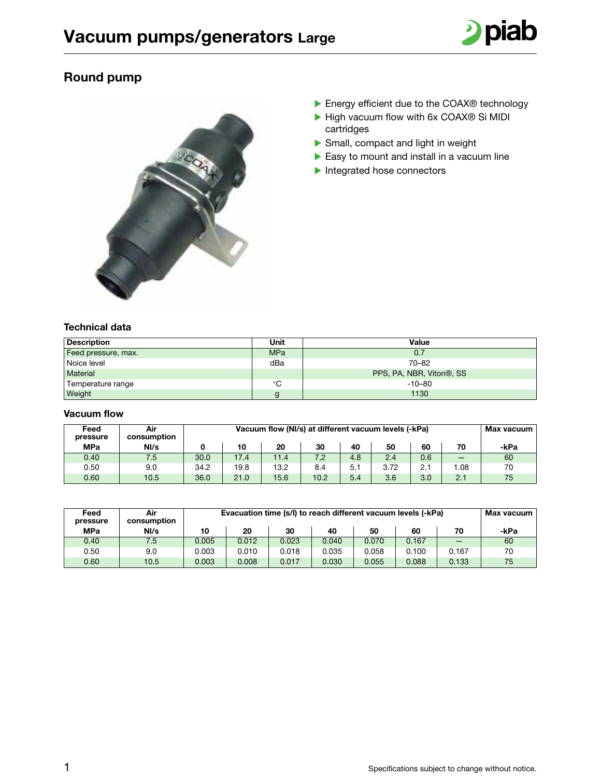

## Round pump



- ▶ Energy efficient due to the COAX® technology
- ▶ High vacuum flow with 6x COAX® Si MIDI cartridges
- $\blacktriangleright$  Small, compact and light in weight
- $\blacktriangleright$  Easy to mount and install in a vacuum line
- $\blacktriangleright$  Integrated hose connectors

## Technical data

| <b>Description</b>  | Unit       | Value                    |
|---------------------|------------|--------------------------|
| Feed pressure, max. | <b>MPa</b> | 0.7                      |
| Noice level         | dBa        | $70 - 82$                |
| Material            |            | PPS, PA, NBR, Viton®, SS |
| Temperature range   | °C         | $-10 - 80$               |
| Weight              | g          | 1130                     |

## Vacuum flow

| Feed<br>pressure | Air<br>consumption |      | Vacuum flow (NI/s) at different vacuum levels (-kPa) |      |      |     |      |     |     |      |
|------------------|--------------------|------|------------------------------------------------------|------|------|-----|------|-----|-----|------|
| <b>MPa</b>       | N/s                |      | 10                                                   | 20   | 30   | 40  | 50   | 60  |     | -kPa |
| 0.40             | 7.5                | 30.0 | 17.4                                                 | 11.4 | 7,2  | 4.8 | 2.4  | 0.6 | _   | 60   |
| 0.50             | 9.0                | 34.2 | 19.8                                                 | 13.2 | 8.4  | 5.1 | 3.72 | 2.1 | .08 | 70   |
| 0.60             | 10.5               | 36.0 | 21.0                                                 | 15.6 | 10.2 | 5.4 | 3.6  | 3.0 | 2.1 | 75   |

| Feed<br>pressure | Air<br>consumption | Evacuation time (s/l) to reach different vacuum levels (-kPa) |       |       |       |       |       |       | Max vacuum |
|------------------|--------------------|---------------------------------------------------------------|-------|-------|-------|-------|-------|-------|------------|
| <b>MPa</b>       | NI/s               | 10                                                            | 20    | 30    | 40    | 50    | 60    | 70    | -kPa       |
| 0.40             | 7.5                | 0.005                                                         | 0.012 | 0.023 | 0.040 | 0.070 | 0.167 | _     | 60         |
| 0.50             | 9.0                | 0.003                                                         | 0.010 | 0.018 | 0.035 | 0.058 | 0.100 | 0.167 | 70         |
| 0.60             | 10.5               | 0.003                                                         | 0.008 | 0.017 | 0.030 | 0.055 | 0.088 | 0.133 | 75         |